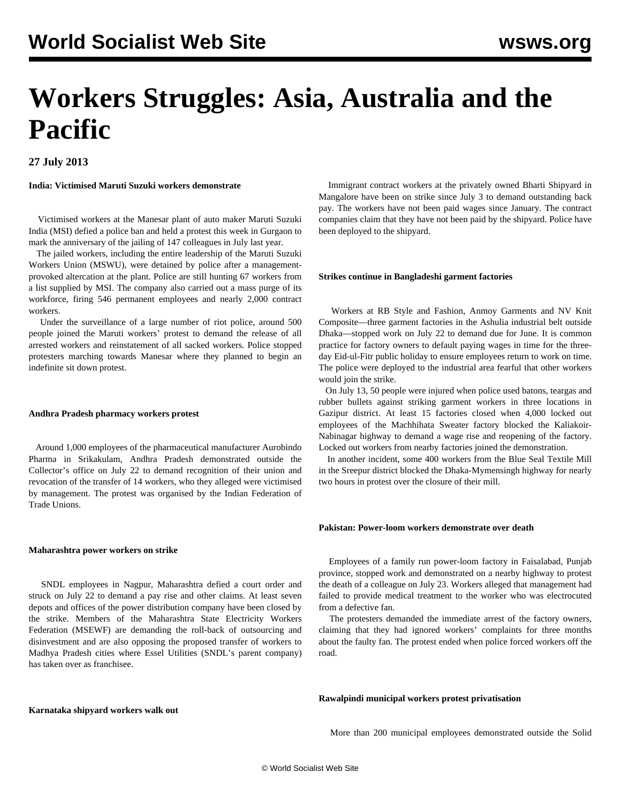# **Workers Struggles: Asia, Australia and the Pacific**

### **27 July 2013**

**India: Victimised Maruti Suzuki workers demonstrate**

 Victimised workers at the Manesar plant of auto maker Maruti Suzuki India (MSI) defied a police ban and held a protest this week in Gurgaon to mark the anniversary of the jailing of 147 colleagues in July last year.

 The jailed workers, including the entire leadership of the Maruti Suzuki Workers Union (MSWU), were detained by police after a managementprovoked altercation at the plant. Police are still hunting 67 workers from a list supplied by MSI. The company also carried out a mass purge of its workforce, firing 546 permanent employees and nearly 2,000 contract workers.

 Under the surveillance of a large number of riot police, around 500 people joined the Maruti workers' protest to demand the release of all arrested workers and reinstatement of all sacked workers. Police stopped protesters marching towards Manesar where they planned to begin an indefinite sit down protest.

#### **Andhra Pradesh pharmacy workers protest**

 Around 1,000 employees of the pharmaceutical manufacturer Aurobindo Pharma in Srikakulam, Andhra Pradesh demonstrated outside the Collector's office on July 22 to demand recognition of their union and revocation of the transfer of 14 workers, who they alleged were victimised by management. The protest was organised by the Indian Federation of Trade Unions.

#### **Maharashtra power workers on strike**

 SNDL employees in Nagpur, Maharashtra defied a court order and struck on July 22 to demand a pay rise and other claims. At least seven depots and offices of the power distribution company have been closed by the strike. Members of the Maharashtra State Electricity Workers Federation (MSEWF) are demanding the roll-back of outsourcing and disinvestment and are also opposing the proposed transfer of workers to Madhya Pradesh cities where Essel Utilities (SNDL's parent company) has taken over as franchisee.

 Immigrant contract workers at the privately owned Bharti Shipyard in Mangalore have been on strike since July 3 to demand outstanding back pay. The workers have not been paid wages since January. The contract companies claim that they have not been paid by the shipyard. Police have been deployed to the shipyard.

#### **Strikes continue in Bangladeshi garment factories**

 Workers at RB Style and Fashion, Anmoy Garments and NV Knit Composite—three garment factories in the Ashulia industrial belt outside Dhaka—stopped work on July 22 to demand due for June. It is common practice for factory owners to default paying wages in time for the threeday Eid-ul-Fitr public holiday to ensure employees return to work on time. The police were deployed to the industrial area fearful that other workers would join the strike.

 On July 13, 50 people were injured when police used batons, teargas and rubber bullets against striking garment workers in three locations in Gazipur district. At least 15 factories closed when 4,000 locked out employees of the Machhihata Sweater factory blocked the Kaliakoir-Nabinagar highway to demand a wage rise and reopening of the factory. Locked out workers from nearby factories joined the demonstration.

 In another incident, some 400 workers from the Blue Seal Textile Mill in the Sreepur district blocked the Dhaka-Mymensingh highway for nearly two hours in protest over the closure of their mill.

#### **Pakistan: Power-loom workers demonstrate over death**

 Employees of a family run power-loom factory in Faisalabad, Punjab province, stopped work and demonstrated on a nearby highway to protest the death of a colleague on July 23. Workers alleged that management had failed to provide medical treatment to the worker who was electrocuted from a defective fan.

 The protesters demanded the immediate arrest of the factory owners, claiming that they had ignored workers' complaints for three months about the faulty fan. The protest ended when police forced workers off the road.

#### **Rawalpindi municipal workers protest privatisation**

**Karnataka shipyard workers walk out**

More than 200 municipal employees demonstrated outside the Solid